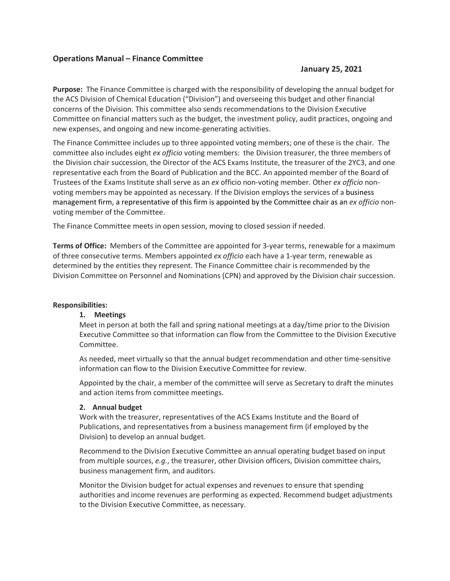# **Operations Manual – Finance Committee**

# **January 25, 2021**

**Purpose:** The Finance Committee is charged with the responsibility of developing the annual budget for the ACS Division of Chemical Education ("Division") and overseeing this budget and other financial concerns of the Division. This committee also sends recommendations to the Division Executive Committee on financial matters such as the budget, the investment policy, audit practices, ongoing and new expenses, and ongoing and new income-generating activities.

The Finance Committee includes up to three appointed voting members; one of these is the chair. The committee also includes eight *ex officio* voting members: the Division treasurer, the three members of the Division chair succession, the Director of the ACS Exams Institute, the treasurer of the 2YC3, and one representative each from the Board of Publication and the BCC. An appointed member of the Board of Trustees of the Exams Institute shall serve as an *ex* officio non-voting member. Other *ex officio* nonvoting members may be appointed as necessary. If the Division employs the services of a business management firm, a representative of this firm is appointed by the Committee chair as an *ex officio* nonvoting member of the Committee.

The Finance Committee meets in open session, moving to closed session if needed.

**Terms of Office:** Members of the Committee are appointed for 3-year terms, renewable for a maximum of three consecutive terms. Members appointed *ex officio* each have a 1-year term, renewable as determined by the entities they represent. The Finance Committee chair is recommended by the Division Committee on Personnel and Nominations (CPN) and approved by the Division chair succession.

## **Responsibilities:**

## **1. Meetings**

Meet in person at both the fall and spring national meetings at a day/time prior to the Division Executive Committee so that information can flow from the Committee to the Division Executive Committee.

As needed, meet virtually so that the annual budget recommendation and other time-sensitive information can flow to the Division Executive Committee for review.

Appointed by the chair, a member of the committee will serve as Secretary to draft the minutes and action items from committee meetings.

### **2. Annual budget**

Work with the treasurer, representatives of the ACS Exams Institute and the Board of Publications, and representatives from a business management firm (if employed by the Division) to develop an annual budget.

Recommend to the Division Executive Committee an annual operating budget based on input from multiple sources, *e.g.*, the treasurer, other Division officers, Division committee chairs, business management firm, and auditors.

Monitor the Division budget for actual expenses and revenues to ensure that spending authorities and income revenues are performing as expected. Recommend budget adjustments to the Division Executive Committee, as necessary.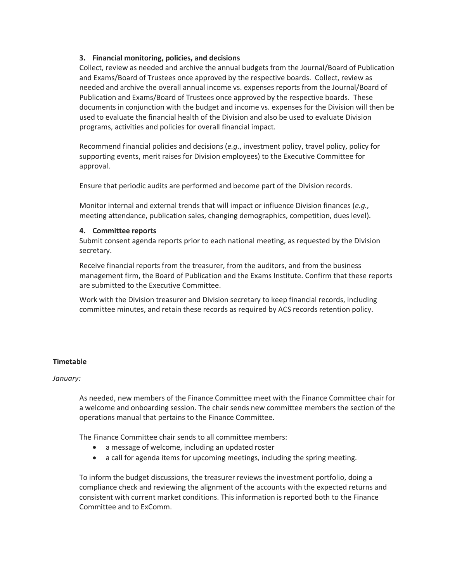# **3. Financial monitoring, policies, and decisions**

Collect, review as needed and archive the annual budgets from the Journal/Board of Publication and Exams/Board of Trustees once approved by the respective boards. Collect, review as needed and archive the overall annual income vs. expenses reports from the Journal/Board of Publication and Exams/Board of Trustees once approved by the respective boards. These documents in conjunction with the budget and income vs. expenses for the Division will then be used to evaluate the financial health of the Division and also be used to evaluate Division programs, activities and policies for overall financial impact.

Recommend financial policies and decisions (*e.g.*, investment policy, travel policy, policy for supporting events, merit raises for Division employees) to the Executive Committee for approval.

Ensure that periodic audits are performed and become part of the Division records.

Monitor internal and external trends that will impact or influence Division finances (*e.g.,* meeting attendance, publication sales, changing demographics, competition, dues level).

# **4. Committee reports**

Submit consent agenda reports prior to each national meeting, as requested by the Division secretary.

Receive financial reports from the treasurer, from the auditors, and from the business management firm, the Board of Publication and the Exams Institute. Confirm that these reports are submitted to the Executive Committee.

Work with the Division treasurer and Division secretary to keep financial records, including committee minutes, and retain these records as required by ACS records retention policy.

# **Timetable**

## *January:*

As needed, new members of the Finance Committee meet with the Finance Committee chair for a welcome and onboarding session. The chair sends new committee members the section of the operations manual that pertains to the Finance Committee.

The Finance Committee chair sends to all committee members:

- a message of welcome, including an updated roster
- a call for agenda items for upcoming meetings, including the spring meeting.

To inform the budget discussions, the treasurer reviews the investment portfolio, doing a compliance check and reviewing the alignment of the accounts with the expected returns and consistent with current market conditions. This information is reported both to the Finance Committee and to ExComm.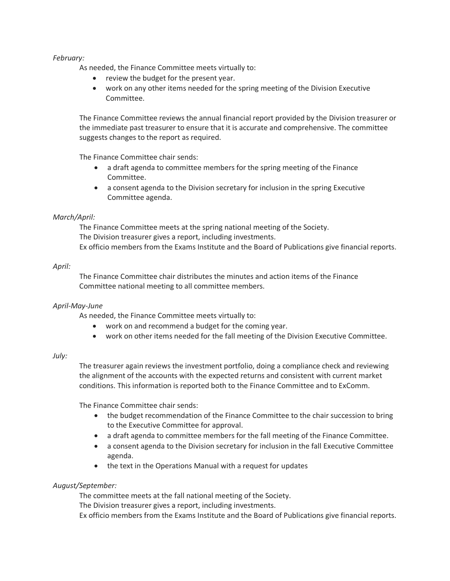# *February:*

As needed, the Finance Committee meets virtually to:

- review the budget for the present year.
- work on any other items needed for the spring meeting of the Division Executive Committee.

The Finance Committee reviews the annual financial report provided by the Division treasurer or the immediate past treasurer to ensure that it is accurate and comprehensive. The committee suggests changes to the report as required.

The Finance Committee chair sends:

- a draft agenda to committee members for the spring meeting of the Finance Committee.
- a consent agenda to the Division secretary for inclusion in the spring Executive Committee agenda.

# *March/April:*

The Finance Committee meets at the spring national meeting of the Society. The Division treasurer gives a report, including investments. Ex officio members from the Exams Institute and the Board of Publications give financial reports.

# *April:*

The Finance Committee chair distributes the minutes and action items of the Finance Committee national meeting to all committee members.

## *April-May-June*

As needed, the Finance Committee meets virtually to:

- work on and recommend a budget for the coming year.
- work on other items needed for the fall meeting of the Division Executive Committee.

## *July:*

The treasurer again reviews the investment portfolio, doing a compliance check and reviewing the alignment of the accounts with the expected returns and consistent with current market conditions. This information is reported both to the Finance Committee and to ExComm.

The Finance Committee chair sends:

- the budget recommendation of the Finance Committee to the chair succession to bring to the Executive Committee for approval.
- a draft agenda to committee members for the fall meeting of the Finance Committee.
- a consent agenda to the Division secretary for inclusion in the fall Executive Committee agenda.
- the text in the Operations Manual with a request for updates

## *August/September:*

The committee meets at the fall national meeting of the Society.

The Division treasurer gives a report, including investments.

Ex officio members from the Exams Institute and the Board of Publications give financial reports.